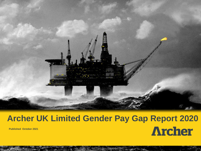

## **Archer UK Limited Gender Pay Gap Report 2020 Archer Published October 2021**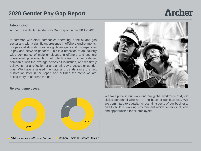# **Archer**

#### **Introduction**

Archer presents its Gender Pay Gap Report in the UK for 2020.

In common with other companies operating in the oil and gas sector and with a significant presence in offshore environments, our pay statistics show some significant gaps and discrepancies in pay and between genders. This is a reflection of an industry wide dominance of male employees in offshore and onshore operational positions, both of which attract higher salaries compared with the average across all industries, and we firmly believe is not a reflection of any unfair pay practices or gender bias. We have analysed the data and trends since the last publication later in the report and outlined the steps we are taking to try to address the gap.



#### **Relevant employees:**



We take pride in our work and our global workforce of 4,500 skilled personnel who are at the heart of our business. We are committed to equality across all aspects of our business, and to build a working environment which fosters inclusion and opportunities for all employees.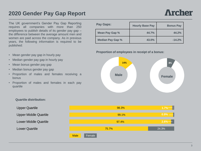The UK government's Gender Pay Gap Reporting requires all companies with more than 250 employees to publish details of its gender pay gap – the difference between the average amount men and women are paid across the company. As in previous years, the following information is required to be published:

- Mean gender pay gap in hourly pay
- Median gender pay gap in hourly pay
- Mean bonus gender pay gap
- Median bonus gender pay gap
- Proportion of males and females receiving a bonus
- Proportion of males and females in each pay quartile

| <b>Pay Gaps:</b>        | <b>Hourly Base Pay</b> | <b>Bonus Pay</b> |
|-------------------------|------------------------|------------------|
| Mean Pay Gap %          | 44.7%                  | 44.2%            |
| <b>Median Pay Gap %</b> | 43.0%                  | $-14.2%$         |

#### **Proportion of employees in receipt of a bonus:**



#### **Quartile distribution:**

Upper Middle Quartile

Lower Middle Quartile

Lower Quartile

Upper Quartile

|             |        |       | 98.3% | 1.7%                      |
|-------------|--------|-------|-------|---------------------------|
|             |        |       | 99.1% | $\boxed{0.9\% - \square}$ |
|             |        |       | 97.4% | $2.6\%$                   |
|             |        | 75.7% |       | 24.3%                     |
| <b>Male</b> | Female |       |       |                           |

3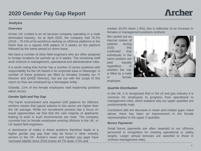#### **Analysis**

#### *Overview*

Archer UK Limited is an oil services company operating in a male dominated industry. As at April 2020, the company had 75.2% (*2018 – 79.1%*) of its workforce working on offshore platforms in the North Sea on a regular shift pattern of 3 weeks on the platform followed by the same period on shore leave.

We have a number of other field engineers who are often assigned to foreign locations for periods up to 6 weeks. The remaining staff work onshore in management, operational and administrative roles.

It is worth noting that Archer has a number of senior positions with responsibility for the UK based in its corporate base in Stavanger. A number of these positions are filled by females (notably our IT Director and QHSE Director), but are out with the scope of this report as they are employed by a Norwegian entity.

Globally, 21% of the female employees hold leadership positions within Archer.

#### *Gender Split and Pay Gap*

The harsh environment and required shift patterns for offshore workers means that typical salaries in this sector are higher than the UK average. While our recruitment process has a focus on equal opportunities we find that the vast majority of applicants looking to work in such environments are male. The company currently has no female employees working offshore in the UK, or UK based field engineers.

A dominance of males in these positions therefore leads to a higher gender pay gap than may be found in other industry sectors in the UK. Archer's mean and median pay gaps have narrowed slightly since 2018 (mean 44.7% down 2.0% and

median 43.0% down 1.9%); this is reflective of an increase in females in management positions onshore.

We carried out an internal review of salaries during 2020; this confirmed that individuals in the same position are paid equally regardless of whether the role is filled by a male or female employee.



#### *Quartile Distribution*

In the UK, it is recognised that in the oil and gas industry it is common for employees to progress from operational to management roles, which explains why our upper quartiles are predominantly male.

Consistent with the decrease in mean and median gaps noted above, there has been an improvement in the female representation in the upper 2 quartiles.

#### *Bonus Payments*

Small bonus payments are often awarded to our offshore personnel in recognition for meeting operational or safety targets. Larger annual bonuses are awarded to those in onshore management roles.

## **Archer**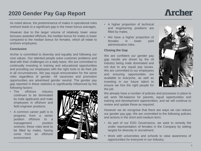As noted above, the predominance of males in operational roles onshore leads to a significant gap in the mean bonus averages.

However due to the larger volume of relatively lower value bonuses awarded offshore, the median bonus for males is lower compared to the median bonus for females, which all relate to onshore employees.

#### **Conclusion**

Archer is committed to diversity and equality and following our core values. Our talented people solve customer problems and deal with their challenges on a daily basis. We are committed to continually investing in training and educational opportunities and providing our employees with the right tools to do their job in all circumstances. We pay equal remuneration for the same roles regardless of gender. All vacancies and promotion opportunities are advertised gender neutral. The gender pay gap reported in these statistics is significantly influenced by the following factors:

- The offshore industry continues to be dominated by male applicants and male employees in offshore and field engineer positions.
- A common career path is to progress from a senior position offshore to a management position onshore; these roles tend to be filled by males, having come from an offshore environment.



- A higher proportion of technical and engineering positions are filled by males.
- We have a higher proportion of females in lower paid administrative roles.

#### **Closing the Gap**

We are confident our gender pay gap results are driven by the oil industry being male dominated and not due to any equal pay issues. We are committed to our employees and ensuring opportunities are available to everyone, as well as investing in our future talent to ensure we hire the right people for the job.



We already have a number of policies and processes in place to aid work life-balance for parents, equal opportunities and training and development opportunities, and we will continue to review and update these as required.

However we do recognise that there are ways we can reduce our gender pay gap. We are committed to the following policies and actions in the short and medium term:

- As part of our ESG Governance, we seek to remedy the under representation of females in the Company by setting targets for diversity in recruitment;
- Work with universities and schools to raise awareness of opportunities for everyone in our industry;